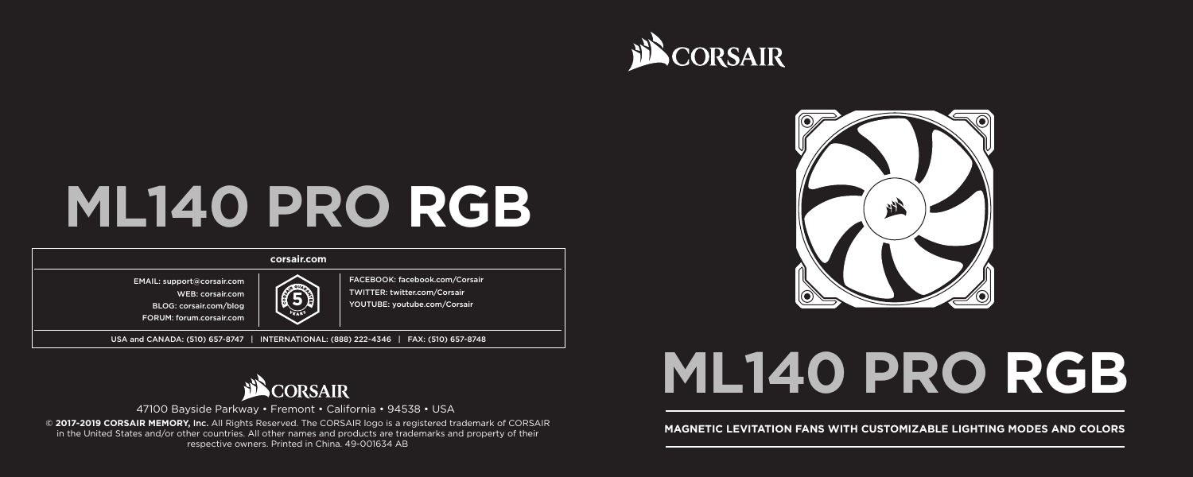

# **ML140 PRO RGB**

### **corsair.com**

EMAIL: support@corsair.com

WEB: corsair.com

BLOG: corsair.com/blog FORUM: forum.corsair.com

FACEBOOK: facebook.com/Corsair TWITTER: twitter.com/Corsair YOUTUBE: youtube.com/Corsair **5**

USA and CANADA: (510) 657-8747 | INTERNATIONAL: (888) 222-4346 | FAX: (510) 657-8748



47100 Bayside Parkway • Fremont • California • 94538 • USA **MAGNETIC LEVITATION FANS WITH CUSTOMIZABLE LIGHTING MODES AND COLORS AND COLORS AND COLORS AND COLORS AND COLORS AND COLORS <b>CORSAIR MAGNETIC LEVITATION FANS WITH CUSTOMIZABLE LIGHTING MODES AND COLORS** in the United States and/or other countries. All other names and products are trademarks and property of their respective owners. Printed in China. 49-001634 AB



# **ML140 PRO RGB**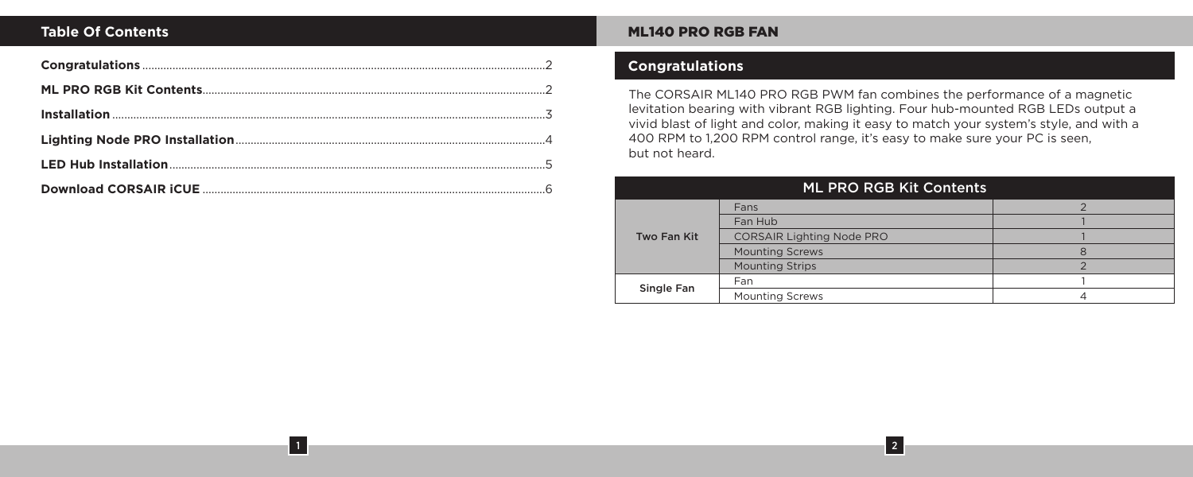1

### **Table Of Contents** Museum and Museum and Museum and Museum and Museum and Museum and Museum and Museum and Museum and Museum and Museum and Museum and Museum and Museum and Museum and Museum and Museum and Museum and Muse

# **Congratulations**

The CORSAIR ML140 PRO RGB PWM fan combines the performance of a magnetic levitation bearing with vibrant RGB lighting. Four hub-mounted RGB LEDs output a vivid blast of light and color, making it easy to match your system's style, and with a 400 RPM to 1,200 RPM control range, it's easy to make sure your PC is seen, but not heard.

| <b>ML PRO RGB Kit Contents</b> |                                  |   |
|--------------------------------|----------------------------------|---|
| Two Fan Kit                    | Fans                             |   |
|                                | Fan Hub                          |   |
|                                | <b>CORSAIR Lighting Node PRO</b> |   |
|                                | <b>Mounting Screws</b>           | 8 |
|                                | <b>Mounting Strips</b>           |   |
| Single Fan                     | Fan                              |   |
|                                | <b>Mounting Screws</b>           |   |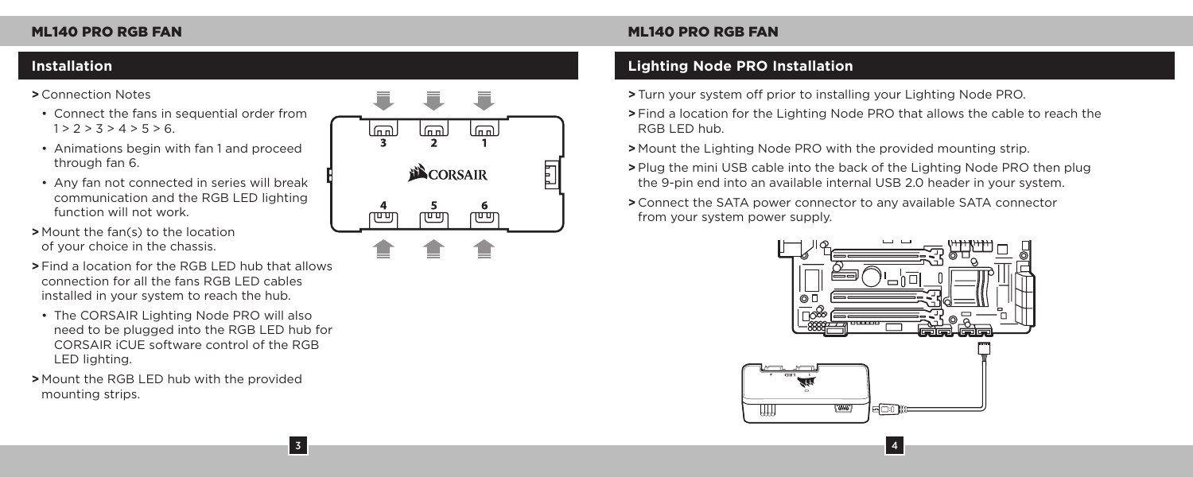### **>** Connection Notes

- Connect the fans in sequential order from  $1 > 2 > 3 > 4 > 5 > 6.$
- Animations begin with fan 1 and proceed through fan 6.
- Any fan not connected in series will break communication and the RGB LED lighting function will not work.
- **>** Mount the fan(s) to the location of your choice in the chassis.
- **>** Find a location for the RGB LED hub that allows connection for all the fans RGB LED cables installed in your system to reach the hub.
- The CORSAIR Lighting Node PRO will also need to be plugged into the RGB LED hub for CORSAIR iCUE software control of the RGB LED lighting.

3

**>** Mount the RGB LED hub with the provided mounting strips.



# **Installation Lighting Node PRO Installation**

- **>** Turn your system off prior to installing your Lighting Node PRO.
- **>** Find a location for the Lighting Node PRO that allows the cable to reach the RGB LED hub.
- **>** Mount the Lighting Node PRO with the provided mounting strip.
- **>** Plug the mini USB cable into the back of the Lighting Node PRO then plug the 9-pin end into an available internal USB 2.0 header in your system.
- **>** Connect the SATA power connector to any available SATA connector from your system power supply.

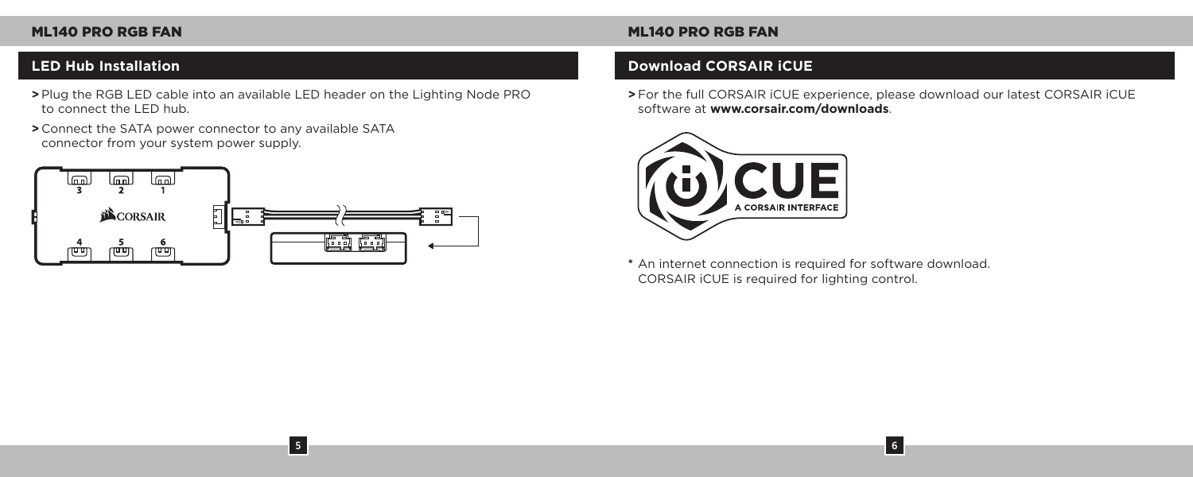- **>** Plug the RGB LED cable into an available LED header on the Lighting Node PRO to connect the LED hub.
- **>** Connect the SATA power connector to any available SATA connector from your system power supply.



5

# **LED Hub Installation Download CORSAIR iCUE**

**>** For the full CORSAIR iCUE experience, please download our latest CORSAIR iCUE software at **www.corsair.com/downloads**.

6



**\*** An internet connection is required for software download. CORSAIR iCUE is required for lighting control.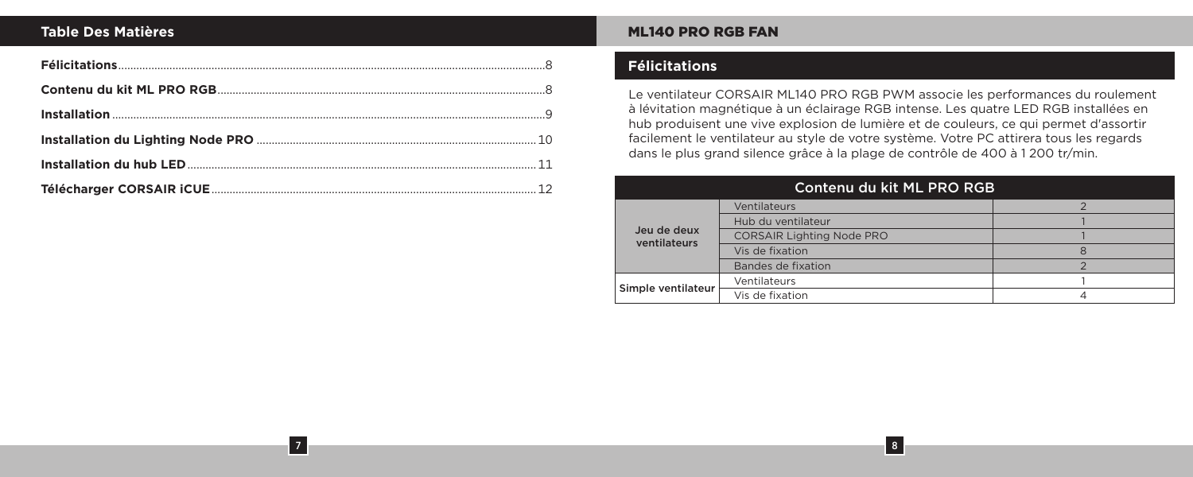### **Table Des Matières**

7

### ML140 PRO RGB FAN

# **Félicitations**

Le ventilateur CORSAIR ML140 PRO RGB PWM associe les performances du roulement à lévitation magnétique à un éclairage RGB intense. Les quatre LED RGB installées en hub produisent une vive explosion de lumière et de couleurs, ce qui permet d'assortir facilement le ventilateur au style de votre système. Votre PC attirera tous les regards dans le plus grand silence grâce à la plage de contrôle de 400 à 1 200 tr/min.

| Contenu du kit ML PRO RGB   |                                  |  |
|-----------------------------|----------------------------------|--|
| Jeu de deux<br>ventilateurs | Ventilateurs                     |  |
|                             | Hub du ventilateur               |  |
|                             | <b>CORSAIR Lighting Node PRO</b> |  |
|                             | Vis de fixation                  |  |
|                             | Bandes de fixation               |  |
| Simple ventilateur          | Ventilateurs                     |  |
|                             | Vis de fixation                  |  |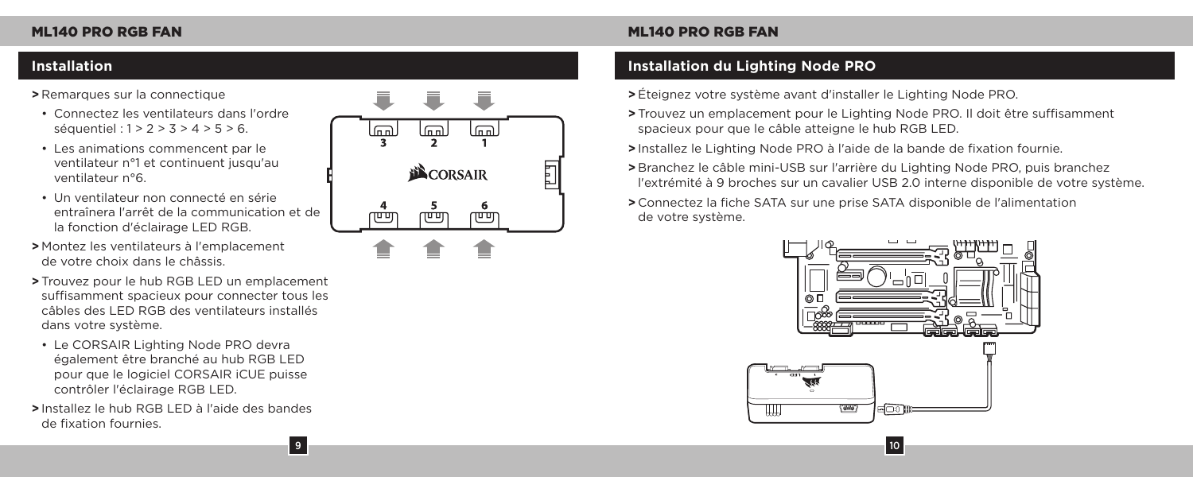### **>** Remarques sur la connectique

- Connectez les ventilateurs dans l'ordre séquentiel : 1 > 2 > 3 > 4 > 5 > 6.
- Les animations commencent par le ventilateur n°1 et continuent jusqu'au ventilateur n°6.
- Un ventilateur non connecté en série entraînera l'arrêt de la communication et de la fonction d'éclairage LED RGB.
- **>** Montez les ventilateurs à l'emplacement de votre choix dans le châssis.
- **>** Trouvez pour le hub RGB LED un emplacement suffisamment spacieux pour connecter tous les câbles des LED RGB des ventilateurs installés dans votre système.
- Le CORSAIR Lighting Node PRO devra également être branché au hub RGB LED pour que le logiciel CORSAIR iCUE puisse contrôler l'éclairage RGB LED.
- **>** Installez le hub RGB LED à l'aide des bandes de fixation fournies.



# **Installation Installation du Lighting Node PRO**

- **>** Éteignez votre système avant d'installer le Lighting Node PRO.
- **>** Trouvez un emplacement pour le Lighting Node PRO. Il doit être suffisamment spacieux pour que le câble atteigne le hub RGB LED.
- **>** Installez le Lighting Node PRO à l'aide de la bande de fixation fournie.
- **>** Branchez le câble mini-USB sur l'arrière du Lighting Node PRO, puis branchez l'extrémité à 9 broches sur un cavalier USB 2.0 interne disponible de votre système.
- **>** Connectez la fiche SATA sur une prise SATA disponible de l'alimentation de votre système.

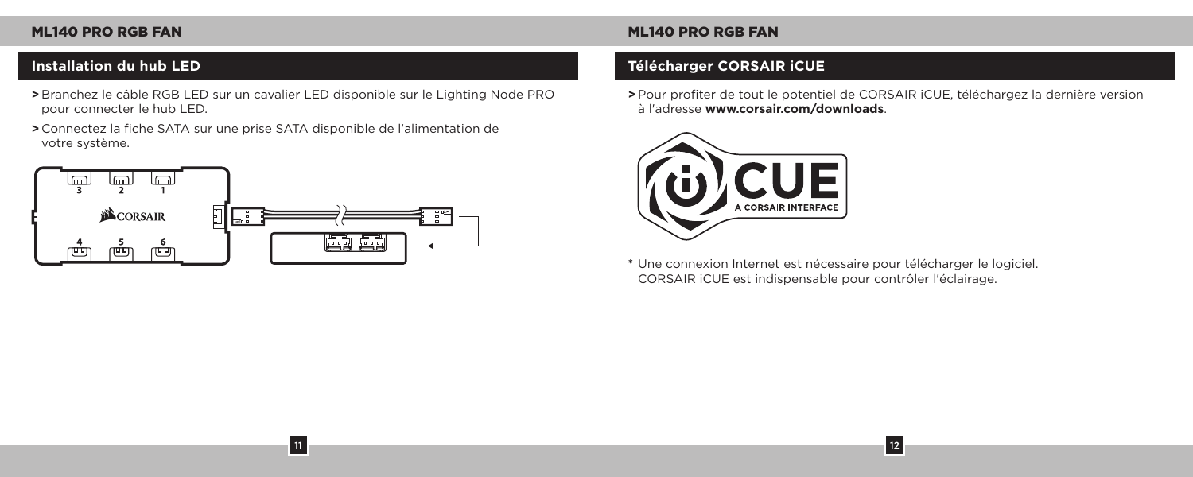**>** Branchez le câble RGB LED sur un cavalier LED disponible sur le Lighting Node PRO pour connecter le hub LED.

11

**>** Connectez la fiche SATA sur une prise SATA disponible de l'alimentation de votre système.



# ML140 PRO RGB FAN ML140 PRO RGB FAN

# **Installation du hub LED Télécharger CORSAIR iCUE**

**>** Pour profiter de tout le potentiel de CORSAIR iCUE, téléchargez la dernière version à l'adresse **www.corsair.com/downloads**.

12



**\*** Une connexion Internet est nécessaire pour télécharger le logiciel. CORSAIR iCUE est indispensable pour contrôler l'éclairage.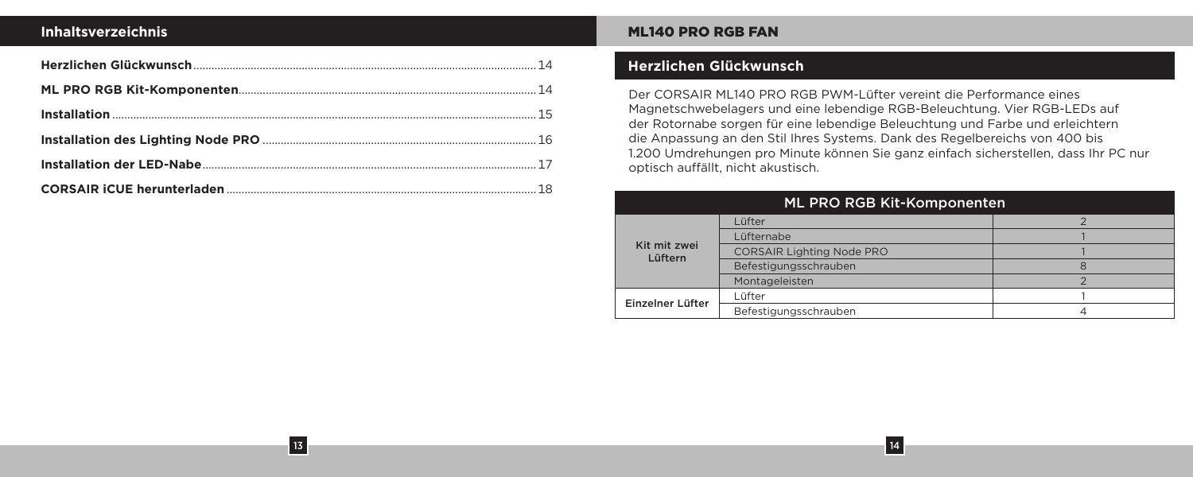### **Inhaltsverzeichnis**

13

### ML140 PRO RGB FAN

# **Herzlichen Glückwunsch**

Der CORSAIR ML140 PRO RGB PWM-Lüfter vereint die Performance eines Magnetschwebelagers und eine lebendige RGB-Beleuchtung. Vier RGB-LEDs auf der Rotornabe sorgen für eine lebendige Beleuchtung und Farbe und erleichtern die Anpassung an den Stil Ihres Systems. Dank des Regelbereichs von 400 bis 1.200 Umdrehungen pro Minute können Sie ganz einfach sicherstellen, dass Ihr PC nur optisch auffällt, nicht akustisch.

| ML PRO RGB Kit-Komponenten |                                  |   |
|----------------------------|----------------------------------|---|
| Kit mit zwei<br>Lüftern    | Lüfter                           |   |
|                            | Lüfternabe                       |   |
|                            | <b>CORSAIR Lighting Node PRO</b> |   |
|                            | Befestigungsschrauben            | R |
|                            | Montageleisten                   |   |
| Einzelner Lüfter           | Lüfter                           |   |
|                            | Befestigungsschrauben            |   |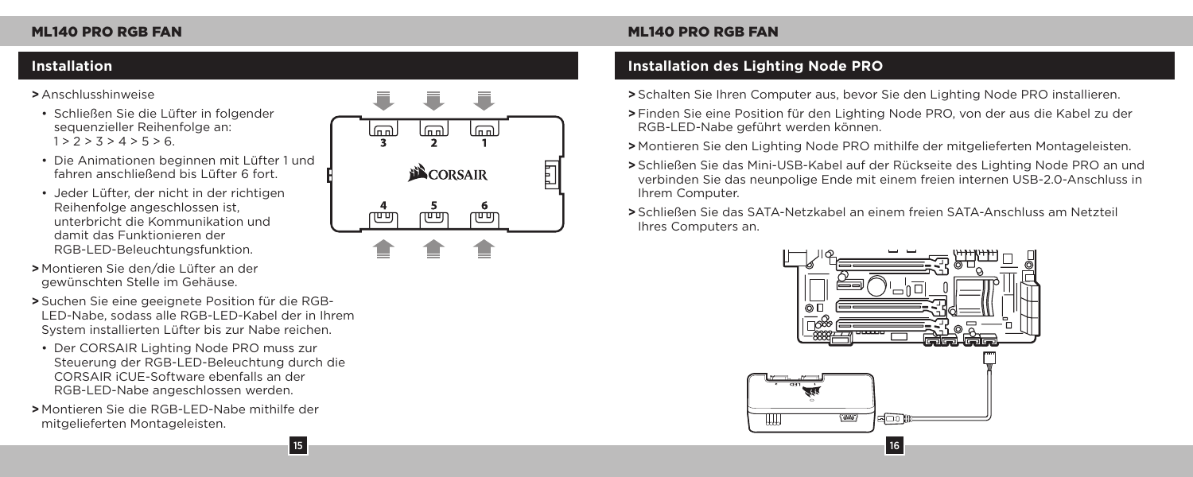### **>** Anschlusshinweise

- Schließen Sie die Lüfter in folgender sequenzieller Reihenfolge an:  $1 > 2 > 3 > 4 > 5 > 6.$
- Die Animationen beginnen mit Lüfter 1 und fahren anschließend bis Lüfter 6 fort.
- Jeder Lüfter, der nicht in der richtigen Reihenfolge angeschlossen ist, unterbricht die Kommunikation und damit das Funktionieren der RGB-LED-Beleuchtungsfunktion.
- **>** Montieren Sie den/die Lüfter an der gewünschten Stelle im Gehäuse.
- **>** Suchen Sie eine geeignete Position für die RGB-LED-Nabe, sodass alle RGB-LED-Kabel der in Ihrem System installierten Lüfter bis zur Nabe reichen.
- Der CORSAIR Lighting Node PRO muss zur Steuerung der RGB-LED-Beleuchtung durch die CORSAIR iCUE-Software ebenfalls an der RGB-LED-Nabe angeschlossen werden.

15

**>** Montieren Sie die RGB-LED-Nabe mithilfe der mitgelieferten Montageleisten.



# **Installation Installation des Lighting Node PRO**

- **>** Schalten Sie Ihren Computer aus, bevor Sie den Lighting Node PRO installieren.
- **>** Finden Sie eine Position für den Lighting Node PRO, von der aus die Kabel zu der RGB-LED-Nabe geführt werden können.
- **>** Montieren Sie den Lighting Node PRO mithilfe der mitgelieferten Montageleisten.
- **>** Schließen Sie das Mini-USB-Kabel auf der Rückseite des Lighting Node PRO an und verbinden Sie das neunpolige Ende mit einem freien internen USB-2.0-Anschluss in Ihrem Computer.
- **>** Schließen Sie das SATA-Netzkabel an einem freien SATA-Anschluss am Netzteil Ihres Computers an.

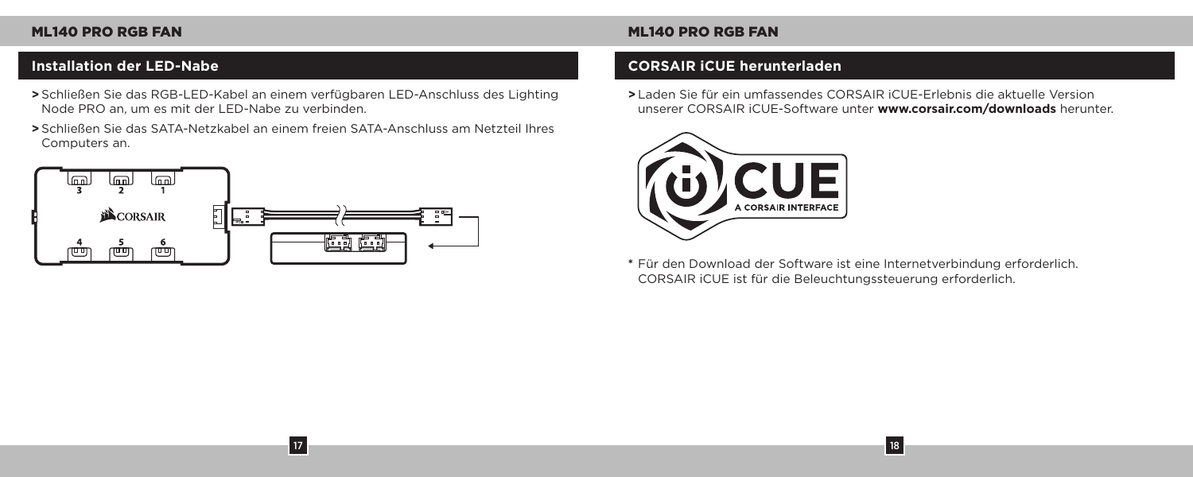- **>** Schließen Sie das RGB-LED-Kabel an einem verfügbaren LED-Anschluss des Lighting Node PRO an, um es mit der LED-Nabe zu verbinden.
- **>** Schließen Sie das SATA-Netzkabel an einem freien SATA-Anschluss am Netzteil Ihres Computers an.

17



### **Installation der LED-Nabe CORSAIR iCUE herunterladen**

**>** Laden Sie für ein umfassendes CORSAIR iCUE-Erlebnis die aktuelle Version unserer CORSAIR iCUE-Software unter **www.corsair.com/downloads** herunter.



**\*** Für den Download der Software ist eine Internetverbindung erforderlich. CORSAIR iCUE ist für die Beleuchtungssteuerung erforderlich.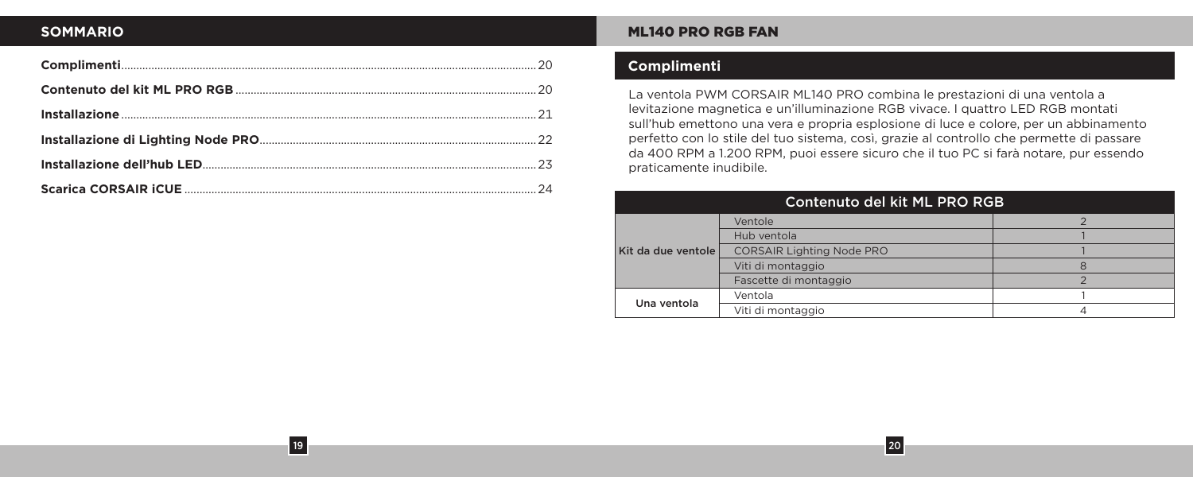# **SOMMARIO**

19

### ML140 PRO RGB FAN

# **Complimenti**

La ventola PWM CORSAIR ML140 PRO combina le prestazioni di una ventola a levitazione magnetica e un'illuminazione RGB vivace. I quattro LED RGB montati sull'hub emettono una vera e propria esplosione di luce e colore, per un abbinamento perfetto con lo stile del tuo sistema, così, grazie al controllo che permette di passare da 400 RPM a 1.200 RPM, puoi essere sicuro che il tuo PC si farà notare, pur essendo praticamente inudibile.

| Contenuto del kit ML PRO RGB |                                  |  |
|------------------------------|----------------------------------|--|
| Kit da due ventole           | Ventole                          |  |
|                              | Hub ventola                      |  |
|                              | <b>CORSAIR Lighting Node PRO</b> |  |
|                              | Viti di montaggio                |  |
|                              | Fascette di montaggio            |  |
| Una ventola                  | Ventola                          |  |
|                              | Viti di montaggio                |  |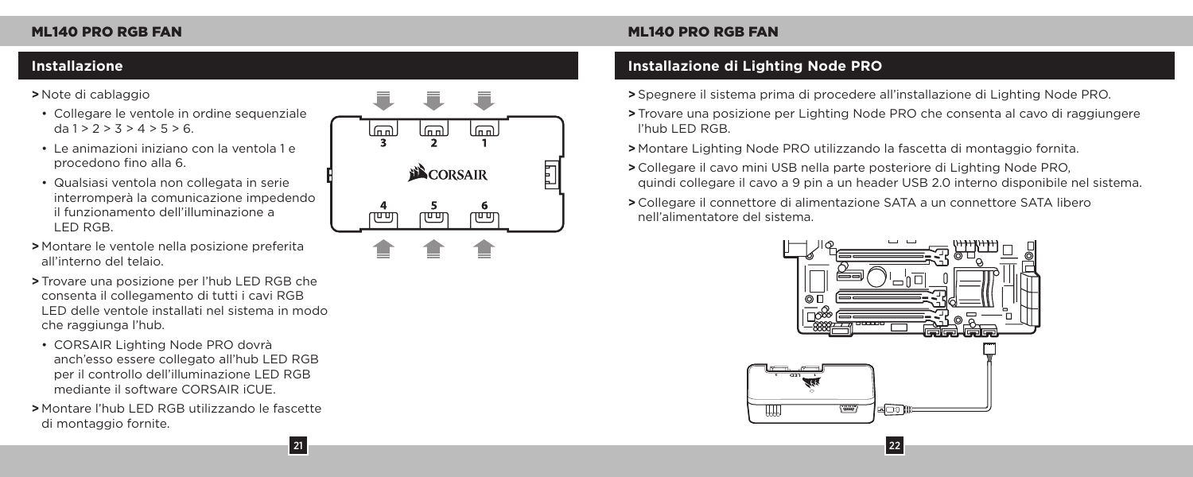### **>** Note di cablaggio

- Collegare le ventole in ordine sequenziale  $da 1 > 2 > 3 > 4 > 5 > 6$
- Le animazioni iniziano con la ventola 1 e procedono fino alla 6.
- Qualsiasi ventola non collegata in serie interromperà la comunicazione impedendo il funzionamento dell'illuminazione a LED RGB.
- **>** Montare le ventole nella posizione preferita all'interno del telaio.
- **>** Trovare una posizione per l'hub LED RGB che consenta il collegamento di tutti i cavi RGB LED delle ventole installati nel sistema in modo che raggiunga l'hub.
- CORSAIR Lighting Node PRO dovrà anch'esso essere collegato all'hub LED RGB per il controllo dell'illuminazione LED RGB mediante il software CORSAIR iCUE.
- **>** Montare l'hub LED RGB utilizzando le fascette di montaggio fornite.



# **Installazione Installazione di Lighting Node PRO**

- **>** Spegnere il sistema prima di procedere all'installazione di Lighting Node PRO.
- **>** Trovare una posizione per Lighting Node PRO che consenta al cavo di raggiungere l'hub LED RGB.
- **>** Montare Lighting Node PRO utilizzando la fascetta di montaggio fornita.
- **>** Collegare il cavo mini USB nella parte posteriore di Lighting Node PRO, quindi collegare il cavo a 9 pin a un header USB 2.0 interno disponibile nel sistema.
- **>** Collegare il connettore di alimentazione SATA a un connettore SATA libero nell'alimentatore del sistema.

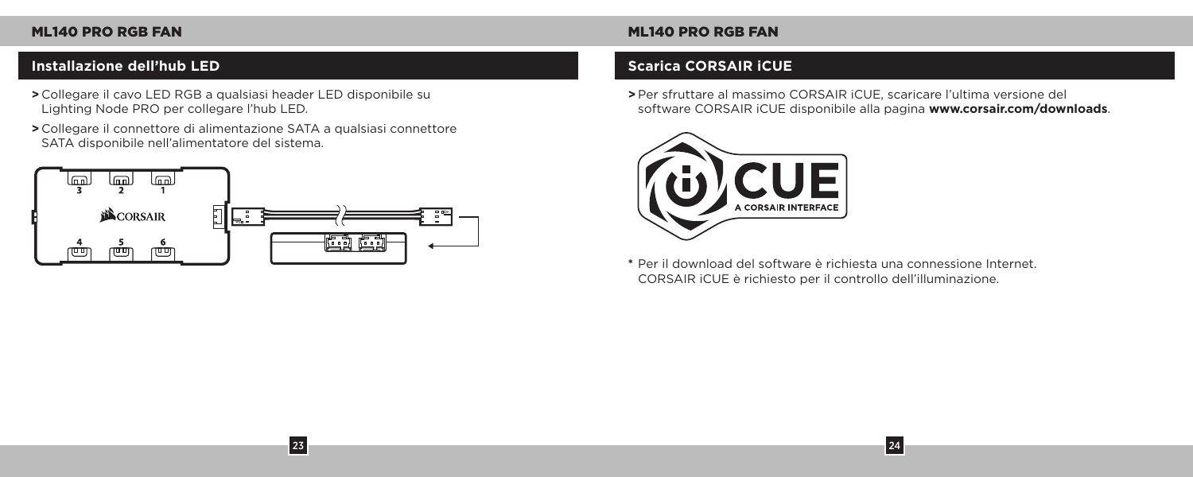# **Installazione dell'hub LED Scarica CORSAIR iCUE**

- **>** Collegare il cavo LED RGB a qualsiasi header LED disponibile su Lighting Node PRO per collegare l'hub LED.
- **>** Collegare il connettore di alimentazione SATA a qualsiasi connettore SATA disponibile nell'alimentatore del sistema.



23

**>** Per sfruttare al massimo CORSAIR iCUE, scaricare l'ultima versione del software CORSAIR iCUE disponibile alla pagina **www.corsair.com/downloads**.

24



**\*** Per il download del software è richiesta una connessione Internet. CORSAIR iCUE è richiesto per il controllo dell'illuminazione.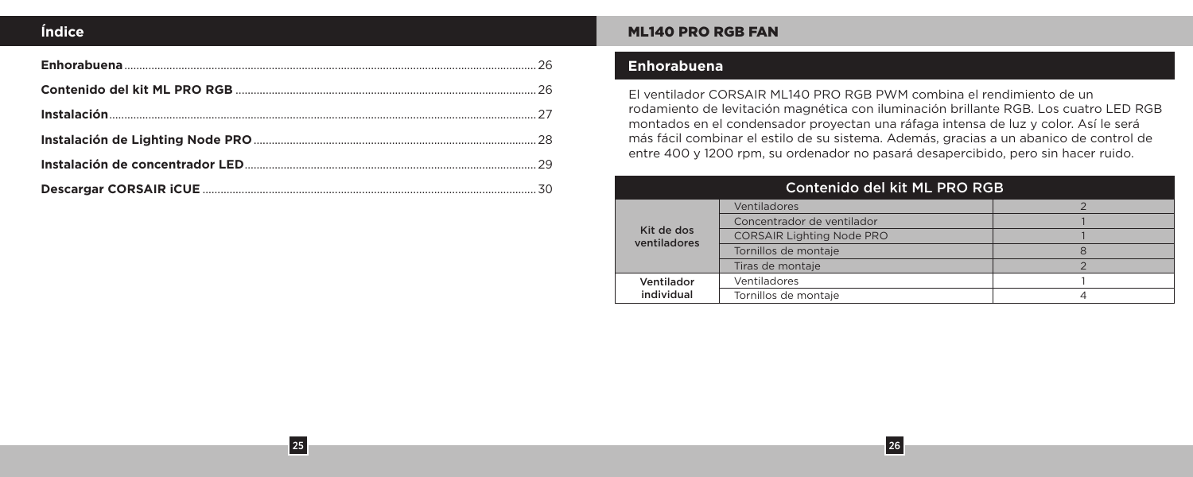# **Índice**

25

### ML140 PRO RGB FAN

# **Enhorabuena**

El ventilador CORSAIR ML140 PRO RGB PWM combina el rendimiento de un rodamiento de levitación magnética con iluminación brillante RGB. Los cuatro LED RGB montados en el condensador proyectan una ráfaga intensa de luz y color. Así le será más fácil combinar el estilo de su sistema. Además, gracias a un abanico de control de entre 400 y 1200 rpm, su ordenador no pasará desapercibido, pero sin hacer ruido.

| Contenido del kit ML PRO RGB |                                  |   |
|------------------------------|----------------------------------|---|
| Kit de dos<br>ventiladores   | Ventiladores                     |   |
|                              | Concentrador de ventilador       |   |
|                              | <b>CORSAIR Lighting Node PRO</b> |   |
|                              | Tornillos de montaje             | 8 |
|                              | Tiras de montaie                 |   |
| Ventilador<br>individual     | Ventiladores                     |   |
|                              | Tornillos de montaje             |   |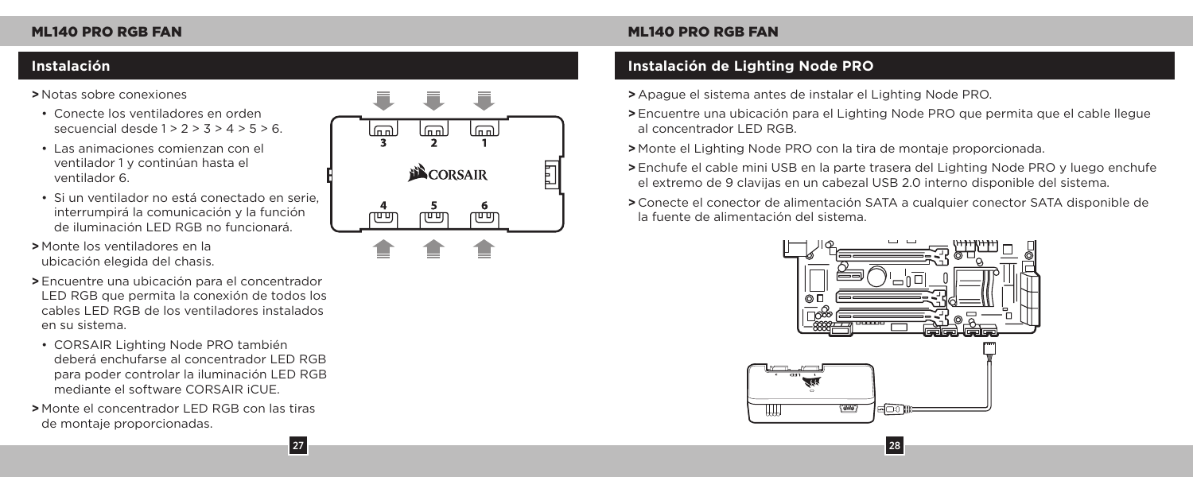### **>** Notas sobre conexiones

- Conecte los ventiladores en orden secuencial desde  $1 > 2 > 3 > 4 > 5 > 6$ .
- Las animaciones comienzan con el ventilador 1 y continúan hasta el ventilador 6.
- Si un ventilador no está conectado en serie, interrumpirá la comunicación y la función de iluminación LED RGB no funcionará.
- **>** Monte los ventiladores en la ubicación elegida del chasis.
- **>** Encuentre una ubicación para el concentrador LED RGB que permita la conexión de todos los cables LED RGB de los ventiladores instalados en su sistema.
- CORSAIR Lighting Node PRO también deberá enchufarse al concentrador LED RGB para poder controlar la iluminación LED RGB mediante el software CORSAIR iCUE.
- **>** Monte el concentrador LED RGB con las tiras de montaje proporcionadas.



# **Instalación Instalación de Lighting Node PRO**

- **>** Apague el sistema antes de instalar el Lighting Node PRO.
- **>** Encuentre una ubicación para el Lighting Node PRO que permita que el cable llegue al concentrador LED RGB.
- **>** Monte el Lighting Node PRO con la tira de montaje proporcionada.
- **>** Enchufe el cable mini USB en la parte trasera del Lighting Node PRO y luego enchufe el extremo de 9 clavijas en un cabezal USB 2.0 interno disponible del sistema.
- **>** Conecte el conector de alimentación SATA a cualquier conector SATA disponible de la fuente de alimentación del sistema.

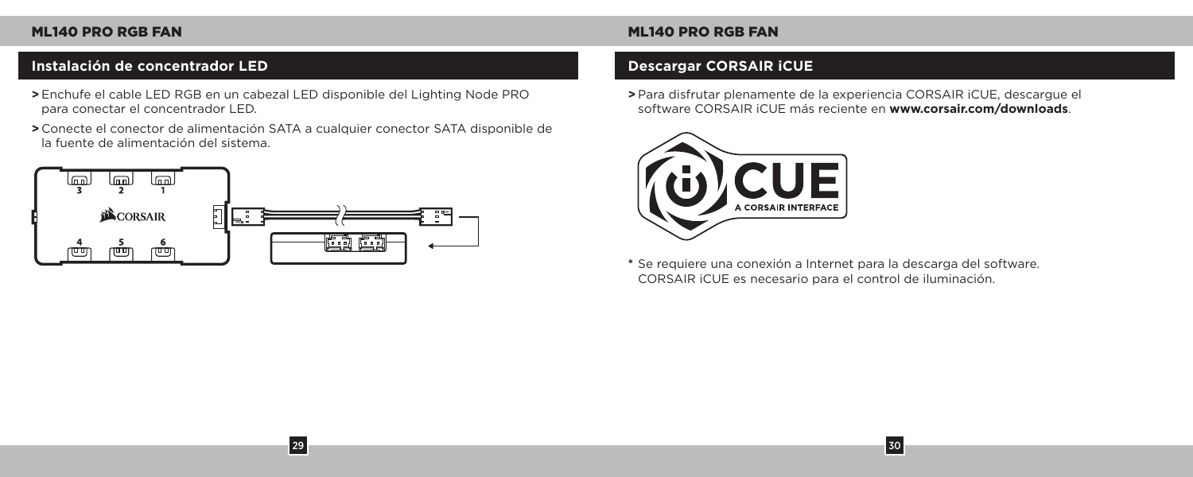# **Instalación de concentrador LED Descargar CORSAIR iCUE**

- **>** Enchufe el cable LED RGB en un cabezal LED disponible del Lighting Node PRO para conectar el concentrador LED.
- **>** Conecte el conector de alimentación SATA a cualquier conector SATA disponible de la fuente de alimentación del sistema.

29



**>** Para disfrutar plenamente de la experiencia CORSAIR iCUE, descargue el software CORSAIR iCUE más reciente en **www.corsair.com/downloads**.



**\*** Se requiere una conexión a Internet para la descarga del software. CORSAIR iCUE es necesario para el control de iluminación.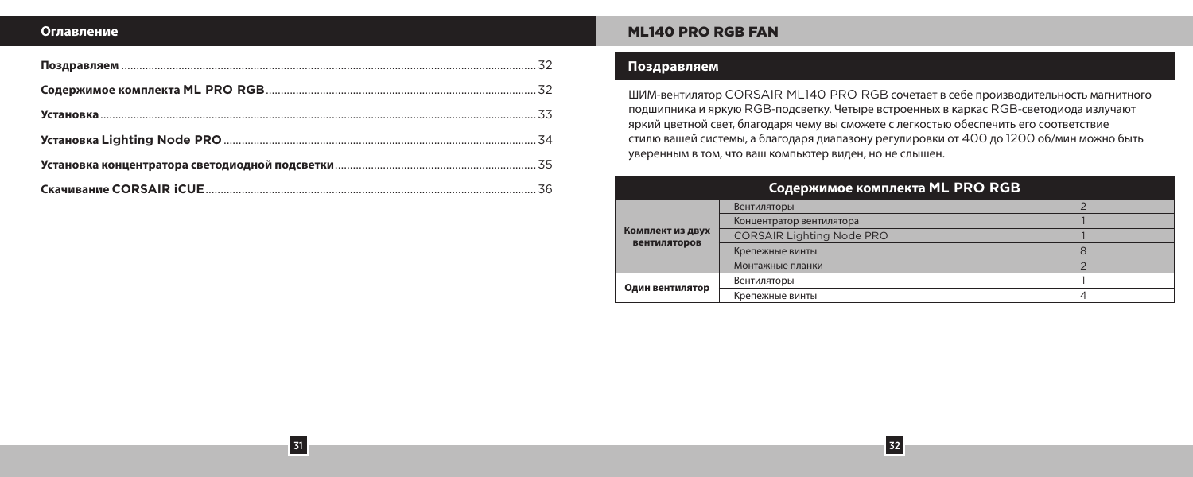### **Оглавление**

31

### ML140 PRO RGB FAN

### **Поздравляем**

ШИМ-вентилятор CORSAIR ML140 PRO RGB сочетает в себе производительность магнитного подшипника и яркую RGB-подсветку. Четыре встроенных в каркас RGB-светодиода излучают яркий цветной свет, благодаря чему вы сможете с легкостью обеспечить его соответствие стилю вашей системы, а благодаря диапазону регулировки от 400 до 1200 об/мин можно быть уверенным в том, что ваш компьютер виден, но не слышен.

| Содержимое комплекта ML PRO RGB  |                                  |  |  |  |
|----------------------------------|----------------------------------|--|--|--|
| Комплект из двух<br>вентиляторов | Вентиляторы                      |  |  |  |
|                                  | Концентратор вентилятора         |  |  |  |
|                                  | <b>CORSAIR Lighting Node PRO</b> |  |  |  |
|                                  | Крепежные винты                  |  |  |  |
|                                  | Монтажные планки                 |  |  |  |
| Один вентилятор                  | Вентиляторы                      |  |  |  |
|                                  | Крепежные винты                  |  |  |  |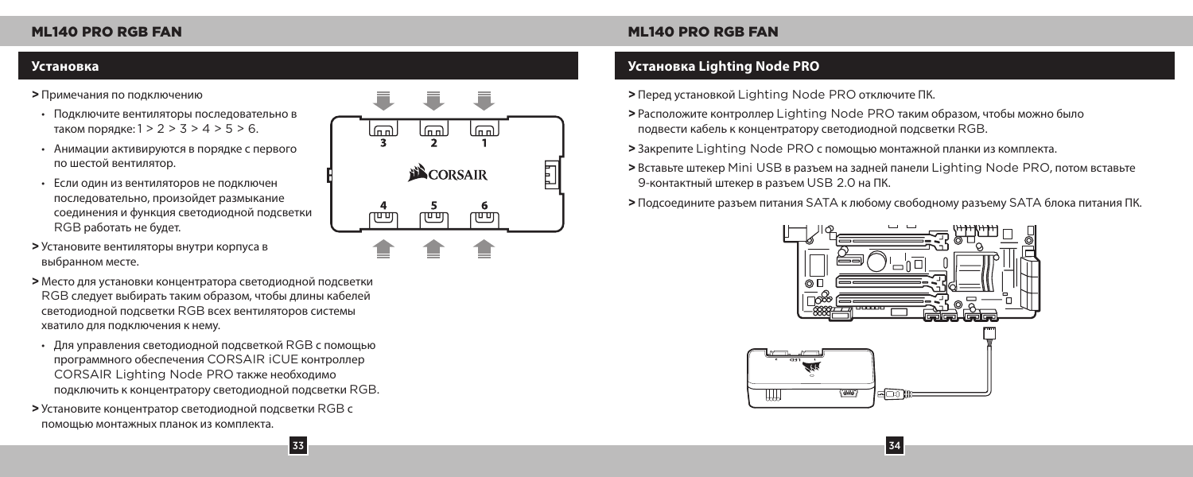### **>** Примечания по подключению

- Подключите вентиляторы последовательно в таком порядке: 1 > 2 > 3 > 4 > 5 > 6.
- Анимации активируются в порядке с первого по шестой вентилятор.
- Если один из вентиляторов не подключен последовательно, произойдет размыкание соединения и функция светодиодной подсветки RGB работать не будет.
- **>** Установите вентиляторы внутри корпуса в выбранном месте.
- **>** Место для установки концентратора светодиодной подсветки RGB следует выбирать таким образом, чтобы длины кабелей светодиодной подсветки RGB всех вентиляторов системы хватило для подключения к нему.
- Для управления светодиодной подсветкой RGB с помощью программного обеспечения CORSAIR iCUE контроллер CORSAIR Lighting Node PRO также необходимо подключить к концентратору светодиодной подсветки RGB.
- **>** Установите концентратор светодиодной подсветки RGB с помощью монтажных планок из комплекта.



### **Установка Установка Lighting Node PRO**

- **>** Перед установкой Lighting Node PRO отключите ПК.
- **>** Расположите контроллер Lighting Node PRO таким образом, чтобы можно было подвести кабель к концентратору светодиодной подсветки RGB.
- **>** Закрепите Lighting Node PRO с помощью монтажной планки из комплекта.
- **>** Вставьте штекер Mini USB в разъем на задней панели Lighting Node PRO, потом вставьте 9-контактный штекер в разъем USB 2.0 на ПК.
- **>** Подсоедините разъем питания SATA к любому свободному разъему SATA блока питания ПК.

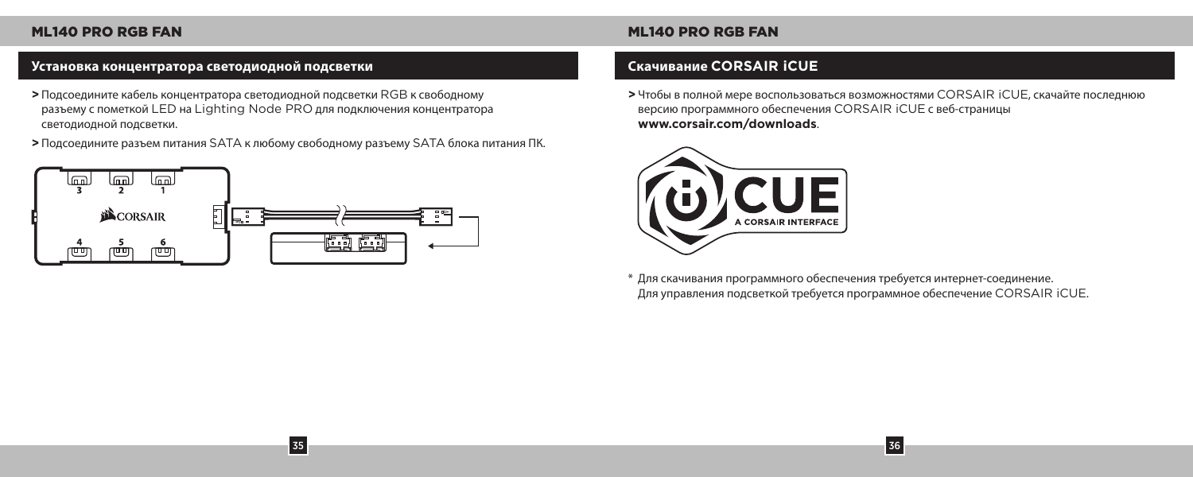# **Установка концентратора светодиодной подсветки Скачивание CORSAIR iCUE**

- **>** Подсоедините кабель концентратора светодиодной подсветки RGB к свободному разъему с пометкой LED на Lighting Node PRO для подключения концентратора светодиодной подсветки.
- **>** Подсоедините разъем питания SATA к любому свободному разъему SATA блока питания ПК.

35



**>** Чтобы в полной мере воспользоваться возможностями CORSAIR iCUE, скачайте последнюю версию программного обеспечения CORSAIR iCUE с веб-страницы **www.corsair.com/downloads**.



\* Для скачивания программного обеспечения требуется интернет-соединение. Для управления подсветкой требуется программное обеспечение CORSAIR iCUE.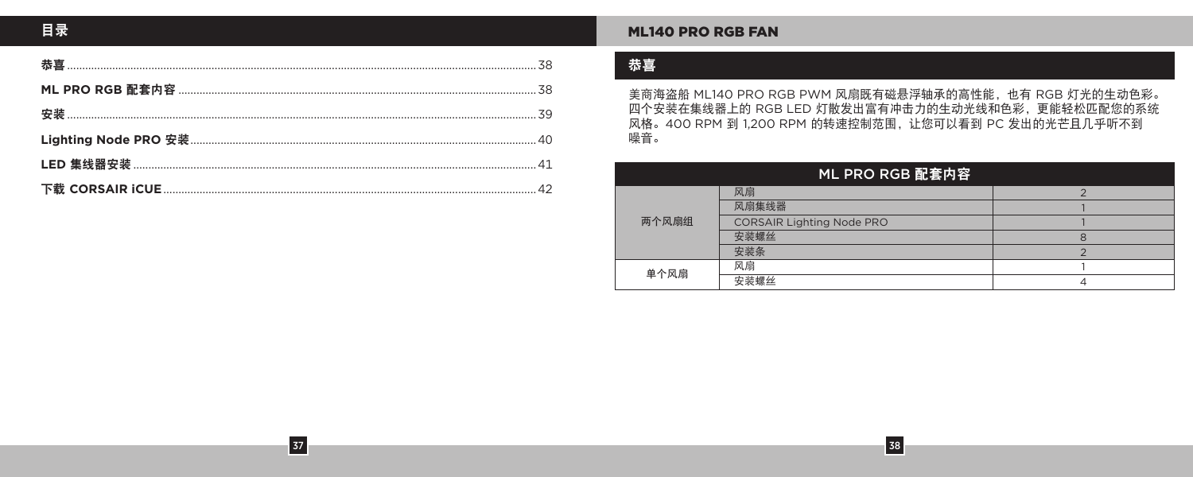$\boxed{37}$ 

### **ML140 PRO RGB FAN**

# 恭喜

美商海盗船 ML140 PRO RGB PWM 风扇既有磁悬浮轴承的高性能, 也有 RGB 灯光的生动色彩。 四个安装在集线器上的 RGB LED 灯散发出富有冲击力的生动光线和色彩,更能轻松匹配您的系统 风格。400 RPM 到 1,200 RPM 的转速控制范围, 让您可以看到 PC 发出的光芒且几乎听不到 噪音。

| ML PRO RGB 配套内容 |                           |   |  |
|-----------------|---------------------------|---|--|
| 两个风扇组           | 风扇                        |   |  |
|                 | 风扇集线器                     |   |  |
|                 | CORSAIR Lighting Node PRO |   |  |
|                 | 安装螺丝                      | 8 |  |
|                 | 安装条                       |   |  |
| 单个风扇            | 风扇                        |   |  |
|                 | 安装螺丝                      |   |  |

 $\begin{array}{|c|c|c|}\n\hline\n38\n\end{array}$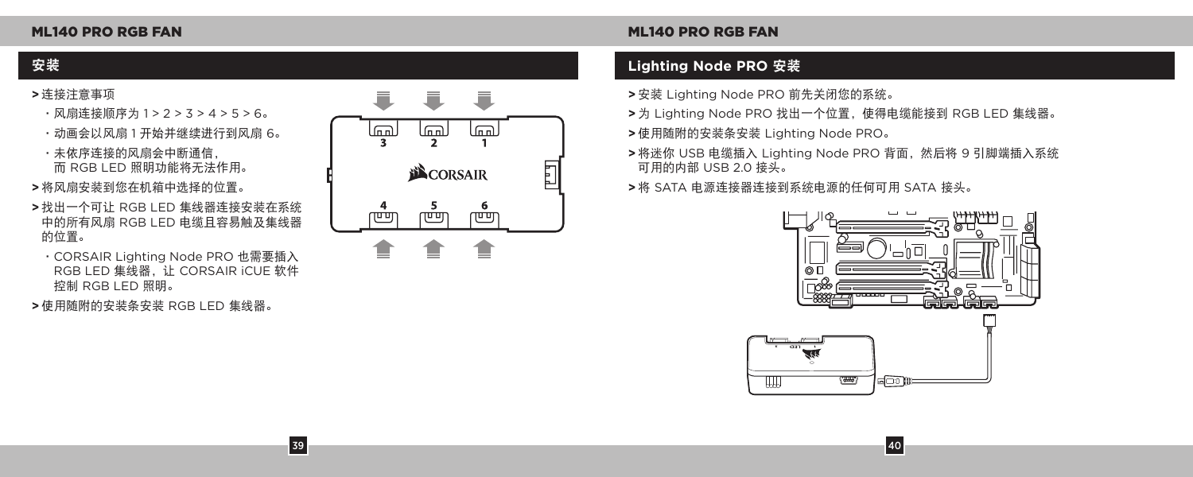- **>** 连接注意事项
	- •风扇连接顺序为 1 > 2 > 3 > 4 > 5 > 6。
	- •动画会以风扇 1 开始并继续进行到风扇 6。

•未依序连接的风扇会中断通信, 而 RGB LED 照明功能将无法作用。

- **>** 将风扇安装到您在机箱中选择的位置。
- **>** 找出一个可让 RGB LED 集线器连接安装在系统 中的所有风扇 RGB LED 电缆且容易触及集线器 的位置。
- •CORSAIR Lighting Node PRO 也需要插入 RGB LED 集线器,让 CORSAIR iCUE 软件 控制 RGB LED 照明。
- **>** 使用随附的安装条安装 RGB LED 集线器。



# 安装 **Lighting Node PRO** 安装

- **>** 安装 Lighting Node PRO 前先关闭您的系统。
- **>** 为 Lighting Node PRO 找出一个位置,使得电缆能接到 RGB LED 集线器。
- **>** 使用随附的安装条安装 Lighting Node PRO。
- **>** 将迷你 USB 电缆插入 Lighting Node PRO 背面,然后将 9 引脚端插入系统 可用的内部 USB 2.0 接头。
- **>** 将 SATA 电源连接器连接到系统电源的任何可用 SATA 接头。